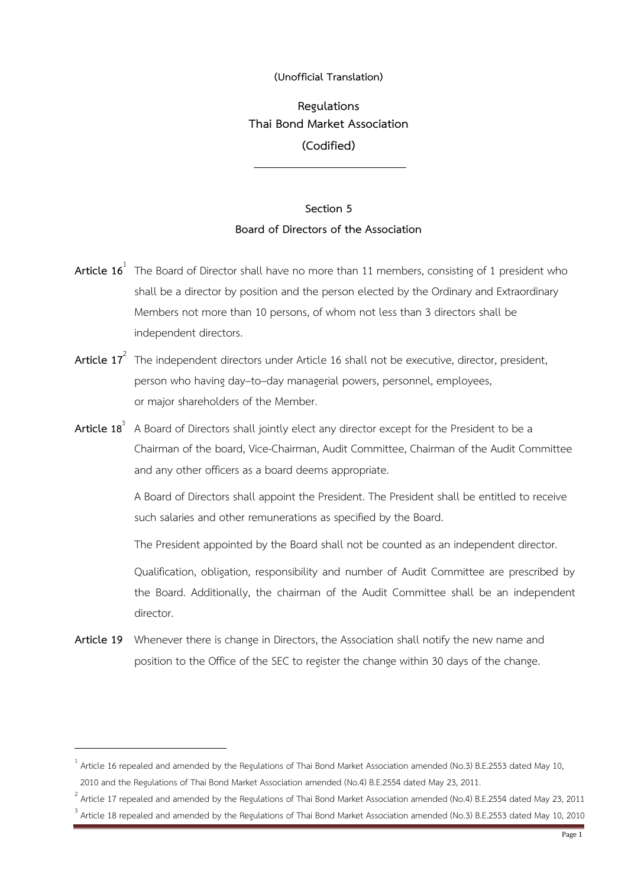## **(Unofficial Translation)**

**Regulations Thai Bond Market Association (Codified)**

## **Section 5 Board of Directors of the Association**

- **Article 16**<sup>1</sup> The Board of Director shall have no more than 11 members, consisting of 1 president who shall be a director by position and the person elected by the Ordinary and Extraordinary Members not more than 10 persons, of whom not less than 3 directors shall be independent directors.
- **Article 17**<sup>2</sup> The independent directors under Article 16 shall not be executive, director, president, person who having day–to–day managerial powers, personnel, employees, or major shareholders of the Member.
- **Article 18**<sup>3</sup> A Board of Directors shall jointly elect any director except for the President to be a Chairman of the board, Vice-Chairman, Audit Committee, Chairman of the Audit Committee and any other officers as a board deems appropriate.

A Board of Directors shall appoint the President. The President shall be entitled to receive such salaries and other remunerations as specified by the Board.

The President appointed by the Board shall not be counted as an independent director.

Qualification, obligation, responsibility and number of Audit Committee are prescribed by the Board. Additionally, the chairman of the Audit Committee shall be an independent director.

**Article 19** Whenever there is change in Directors, the Association shall notify the new name and position to the Office of the SEC to register the change within 30 days of the change.

<u>.</u>

<sup>&</sup>lt;sup>1</sup> Article 16 repealed and amended by the Regulations of Thai Bond Market Association amended (No.3) B.E.2553 dated May 10, 2010 and the Regulations of Thai Bond Market Association amended (No.4) B.E.2554 dated May 23, 2011.

 $^2$  Article 17 repealed and amended by the Regulations of Thai Bond Market Association amended (No.4) B.E.2554 dated May 23, 2011 3

Article 18 repealed and amended by the Regulations of Thai Bond Market Association amended (No.3) B.E.2553 dated May 10, 2010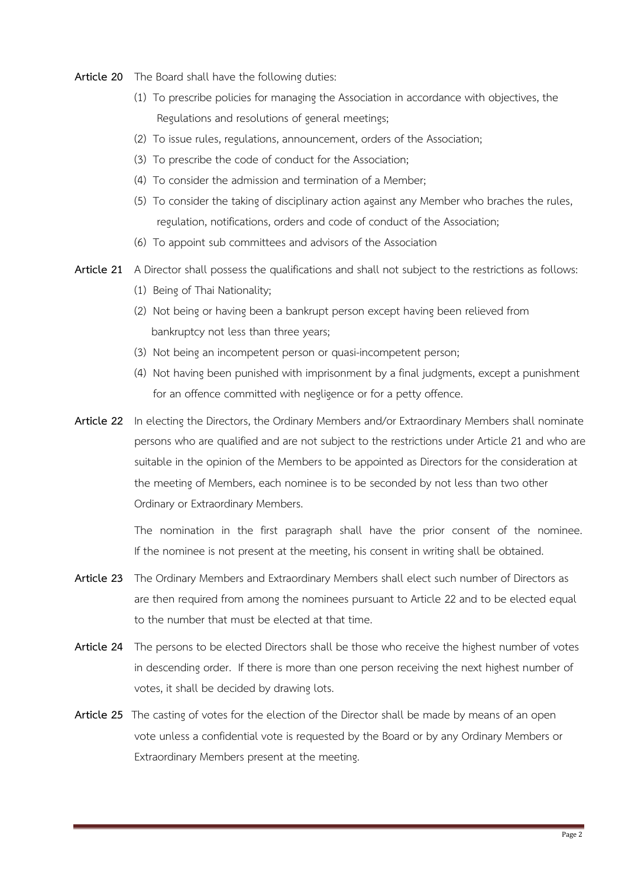- **Article 20** The Board shall have the following duties:
	- (1) To prescribe policies for managing the Association in accordance with objectives, the Regulations and resolutions of general meetings;
	- (2) To issue rules, regulations, announcement, orders of the Association;
	- (3) To prescribe the code of conduct for the Association;
	- (4) To consider the admission and termination of a Member;
	- (5) To consider the taking of disciplinary action against any Member who braches the rules, regulation, notifications, orders and code of conduct of the Association;
	- (6) To appoint sub committees and advisors of the Association
- **Article 21** A Director shall possess the qualifications and shall not subject to the restrictions as follows:
	- (1) Being of Thai Nationality;
	- (2) Not being or having been a bankrupt person except having been relieved from bankruptcy not less than three years;
	- (3) Not being an incompetent person or quasi-incompetent person;
	- (4) Not having been punished with imprisonment by a final judgments, except a punishment for an offence committed with negligence or for a petty offence.
- **Article 22** In electing the Directors, the Ordinary Members and/or Extraordinary Members shall nominate persons who are qualified and are not subject to the restrictions under Article 21 and who are suitable in the opinion of the Members to be appointed as Directors for the consideration at the meeting of Members, each nominee is to be seconded by not less than two other Ordinary or Extraordinary Members.

The nomination in the first paragraph shall have the prior consent of the nominee. If the nominee is not present at the meeting, his consent in writing shall be obtained.

- **Article 23** The Ordinary Members and Extraordinary Members shall elect such number of Directors as are then required from among the nominees pursuant to Article 22 and to be elected equal to the number that must be elected at that time.
- **Article 24** The persons to be elected Directors shall be those who receive the highest number of votes in descending order. If there is more than one person receiving the next highest number of votes, it shall be decided by drawing lots.
- **Article 25** The casting of votes for the election of the Director shall be made by means of an open vote unless a confidential vote is requested by the Board or by any Ordinary Members or Extraordinary Members present at the meeting.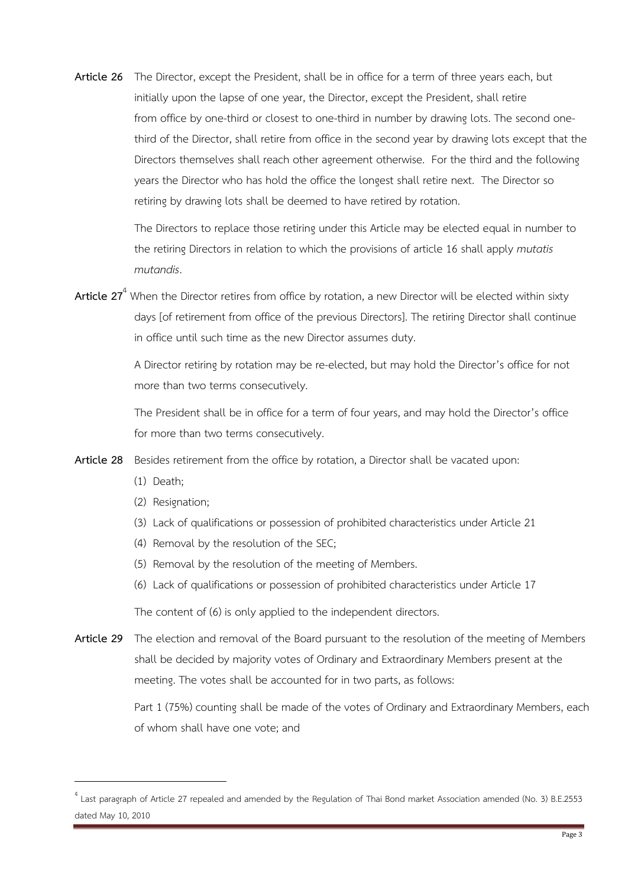**Article 26** The Director, except the President, shall be in office for a term of three years each, but initially upon the lapse of one year, the Director, except the President, shall retire from office by one-third or closest to one-third in number by drawing lots. The second onethird of the Director, shall retire from office in the second year by drawing lots except that the Directors themselves shall reach other agreement otherwise. For the third and the following years the Director who has hold the office the longest shall retire next. The Director so retiring by drawing lots shall be deemed to have retired by rotation.

> The Directors to replace those retiring under this Article may be elected equal in number to the retiring Directors in relation to which the provisions of article 16 shall apply *mutatis mutandis*.

**Article 27**<sup>4</sup> When the Director retires from office by rotation, a new Director will be elected within sixty days [of retirement from office of the previous Directors]. The retiring Director shall continue in office until such time as the new Director assumes duty.

> A Director retiring by rotation may be re-elected, but may hold the Director's office for not more than two terms consecutively.

> The President shall be in office for a term of four years, and may hold the Director's office for more than two terms consecutively.

- **Article 28** Besides retirement from the office by rotation, a Director shall be vacated upon:
	- (1) Death;

- (2) Resignation;
- (3) Lack of qualifications or possession of prohibited characteristics under Article 21
- (4) Removal by the resolution of the SEC;
- (5) Removal by the resolution of the meeting of Members.
- (6) Lack of qualifications or possession of prohibited characteristics under Article 17

The content of (6) is only applied to the independent directors.

**Article 29** The election and removal of the Board pursuant to the resolution of the meeting of Members shall be decided by majority votes of Ordinary and Extraordinary Members present at the meeting. The votes shall be accounted for in two parts, as follows:

> Part 1 (75%) counting shall be made of the votes of Ordinary and Extraordinary Members, each of whom shall have one vote; and

<sup>&</sup>lt;sup>4</sup> Last paragraph of Article 27 repealed and amended by the Regulation of Thai Bond market Association amended (No. 3) B.E.2553 dated May 10, 2010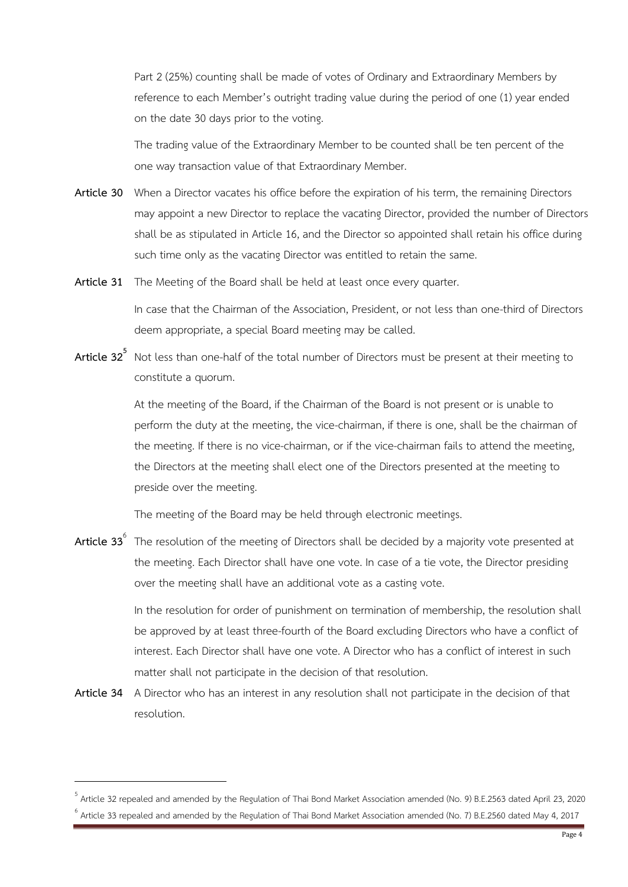Part 2 (25%) counting shall be made of votes of Ordinary and Extraordinary Members by reference to each Member's outright trading value during the period of one (1) year ended on the date 30 days prior to the voting.

The trading value of the Extraordinary Member to be counted shall be ten percent of the one way transaction value of that Extraordinary Member.

- **Article 30** When a Director vacates his office before the expiration of his term, the remaining Directors may appoint a new Director to replace the vacating Director, provided the number of Directors shall be as stipulated in Article 16, and the Director so appointed shall retain his office during such time only as the vacating Director was entitled to retain the same.
- **Article 31** The Meeting of the Board shall be held at least once every quarter.

In case that the Chairman of the Association, President, or not less than one-third of Directors deem appropriate, a special Board meeting may be called.

**Article 32<sup>5</sup>** Not less than one-half of the total number of Directors must be present at their meeting to constitute a quorum.

> At the meeting of the Board, if the Chairman of the Board is not present or is unable to perform the duty at the meeting, the vice-chairman, if there is one, shall be the chairman of the meeting. If there is no vice-chairman, or if the vice-chairman fails to attend the meeting, the Directors at the meeting shall elect one of the Directors presented at the meeting to preside over the meeting.

The meeting of the Board may be held through electronic meetings.

**Article 33**<sup>6</sup> The resolution of the meeting of Directors shall be decided by a majority vote presented at the meeting. Each Director shall have one vote. In case of a tie vote, the Director presiding over the meeting shall have an additional vote as a casting vote.

> In the resolution for order of punishment on termination of membership, the resolution shall be approved by at least three-fourth of the Board excluding Directors who have a conflict of interest. Each Director shall have one vote. A Director who has a conflict of interest in such matter shall not participate in the decision of that resolution.

**Article 34** A Director who has an interest in any resolution shall not participate in the decision of that resolution.

<sup>&</sup>lt;sup>5</sup> Article 32 repealed and amended by the Regulation of Thai Bond Market Association amended (No. 9) B.E.2563 dated April 23, 2020 <sup>6</sup> Article 33 repealed and amended by the Regulation of Thai Bond Market Association amended (No. 7) B.E.2560 dated May 4, 2017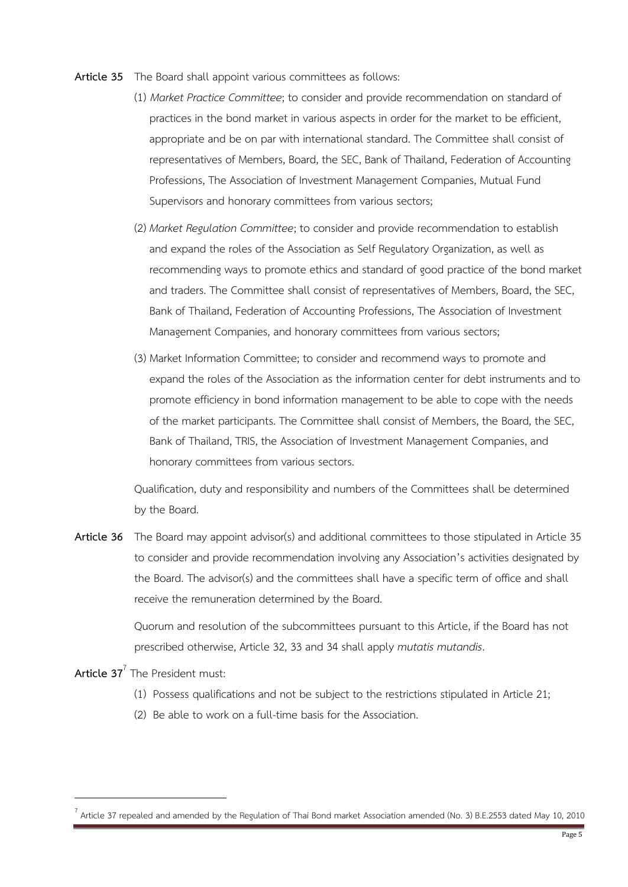- **Article 35** The Board shall appoint various committees as follows:
	- (1) *Market Practice Committee*; to consider and provide recommendation on standard of practices in the bond market in various aspects in order for the market to be efficient, appropriate and be on par with international standard. The Committee shall consist of representatives of Members, Board, the SEC, Bank of Thailand, Federation of Accounting Professions, The Association of Investment Management Companies, Mutual Fund Supervisors and honorary committees from various sectors;
	- (2) *Market Regulation Committee*; to consider and provide recommendation to establish and expand the roles of the Association as Self Regulatory Organization, as well as recommending ways to promote ethics and standard of good practice of the bond market and traders. The Committee shall consist of representatives of Members, Board, the SEC, Bank of Thailand, Federation of Accounting Professions, The Association of Investment Management Companies, and honorary committees from various sectors;
	- (3) Market Information Committee; to consider and recommend ways to promote and expand the roles of the Association as the information center for debt instruments and to promote efficiency in bond information management to be able to cope with the needs of the market participants. The Committee shall consist of Members, the Board, the SEC, Bank of Thailand, TRIS, the Association of Investment Management Companies, and honorary committees from various sectors.

Qualification, duty and responsibility and numbers of the Committees shall be determined by the Board.

**Article 36** The Board may appoint advisor(s) and additional committees to those stipulated in Article 35 to consider and provide recommendation involving any Association's activities designated by the Board. The advisor(s) and the committees shall have a specific term of office and shall receive the remuneration determined by the Board.

> Quorum and resolution of the subcommittees pursuant to this Article, if the Board has not prescribed otherwise, Article 32, 33 and 34 shall apply *mutatis mutandis*.

**Article 37**<sup>7</sup> The President must:

- (1) Possess qualifications and not be subject to the restrictions stipulated in Article 21;
- (2) Be able to work on a full-time basis for the Association.

<sup>7</sup> Article 37 repealed and amended by the Regulation of Thai Bond market Association amended (No. 3) B.E.2553 dated May 10, 2010